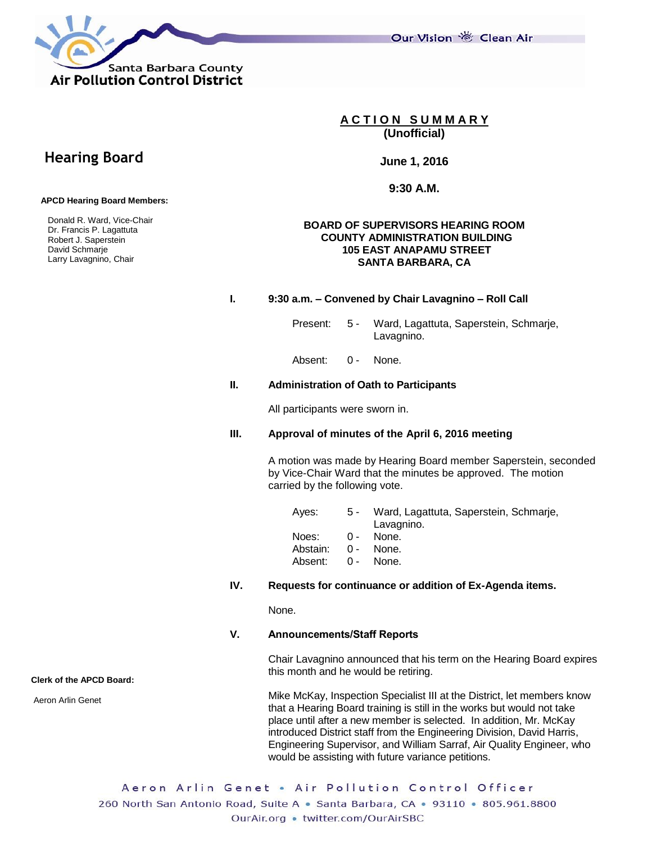Our Vision 卷 Clean Air



**A C T I O N S U M M A R Y (Unofficial)**

**June 1, 2016**

**9:30 A.M.**

### **BOARD OF SUPERVISORS HEARING ROOM COUNTY ADMINISTRATION BUILDING 105 EAST ANAPAMU STREET SANTA BARBARA, CA**

### **I. 9:30 a.m. – Convened by Chair Lavagnino – Roll Call**

Present: 5 - Ward, Lagattuta, Saperstein, Schmarje, Lavagnino.

Absent: 0 - None.

#### **II. Administration of Oath to Participants**

All participants were sworn in.

### **III. Approval of minutes of the April 6, 2016 meeting**

A motion was made by Hearing Board member Saperstein, seconded by Vice-Chair Ward that the minutes be approved. The motion carried by the following vote.

| Aves:              | 5 - Ward, Lagattuta, Saperstein, Schmarje,<br>Lavagnino. |
|--------------------|----------------------------------------------------------|
| $Noes: 0 -$        | None.                                                    |
| Abstain: 0 - None. |                                                          |
| Absent: 0 - None.  |                                                          |
|                    |                                                          |

# **IV. Requests for continuance or addition of Ex-Agenda items.**

None.

## **V. Announcements/Staff Reports**

Chair Lavagnino announced that his term on the Hearing Board expires this month and he would be retiring.

Mike McKay, Inspection Specialist III at the District, let members know that a Hearing Board training is still in the works but would not take place until after a new member is selected. In addition, Mr. McKay introduced District staff from the Engineering Division, David Harris, Engineering Supervisor, and William Sarraf, Air Quality Engineer, who would be assisting with future variance petitions.

Aeron Arlin Genet . Air Pollution Control Officer 260 North San Antonio Road, Suite A · Santa Barbara, CA · 93110 · 805.961.8800 OurAir.org . twitter.com/OurAirSBC

# **Hearing Board**

 **APCD Hearing Board Members:**

 Donald R. Ward, Vice-Chair Dr. Francis P. Lagattuta Robert J. Saperstein David Schmarje Larry Lavagnino, Chair

**Clerk of the APCD Board:**

Aeron Arlin Genet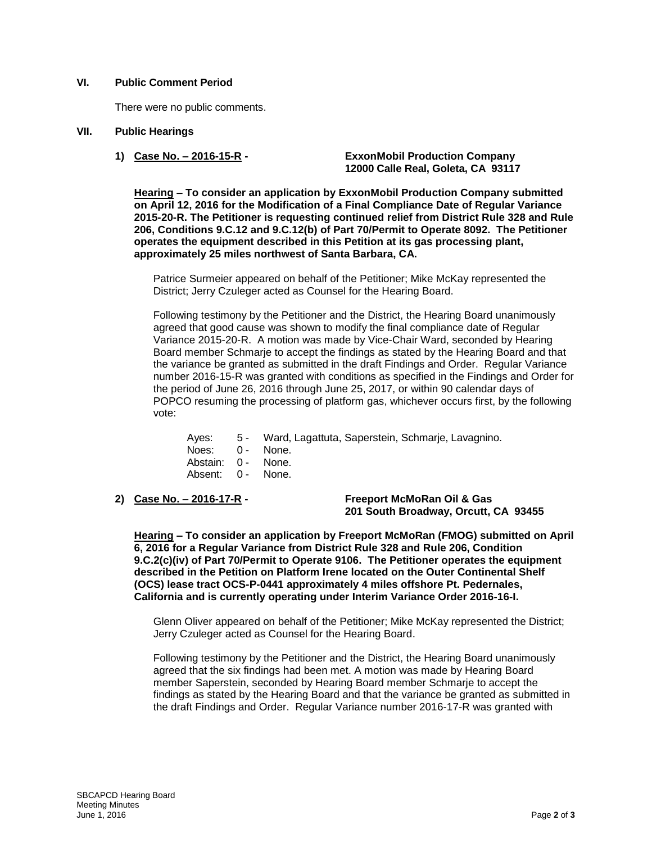## **VI. Public Comment Period**

There were no public comments.

### **VII. Public Hearings**

**1) Case No. – 2016-15-R - ExxonMobil Production Company 12000 Calle Real, Goleta, CA 93117**

**Hearing – To consider an application by ExxonMobil Production Company submitted on April 12, 2016 for the Modification of a Final Compliance Date of Regular Variance 2015-20-R. The Petitioner is requesting continued relief from District Rule 328 and Rule 206, Conditions 9.C.12 and 9.C.12(b) of Part 70/Permit to Operate 8092. The Petitioner operates the equipment described in this Petition at its gas processing plant, approximately 25 miles northwest of Santa Barbara, CA.**

Patrice Surmeier appeared on behalf of the Petitioner; Mike McKay represented the District; Jerry Czuleger acted as Counsel for the Hearing Board.

Following testimony by the Petitioner and the District, the Hearing Board unanimously agreed that good cause was shown to modify the final compliance date of Regular Variance 2015-20-R. A motion was made by Vice-Chair Ward, seconded by Hearing Board member Schmarje to accept the findings as stated by the Hearing Board and that the variance be granted as submitted in the draft Findings and Order. Regular Variance number 2016-15-R was granted with conditions as specified in the Findings and Order for the period of June 26, 2016 through June 25, 2017, or within 90 calendar days of POPCO resuming the processing of platform gas, whichever occurs first, by the following vote:

- Ayes: 5 Ward, Lagattuta, Saperstein, Schmarje, Lavagnino.
- Noes: 0 None.
- Abstain: 0 None.
- Absent: 0 None.
- 

**2) Case No. – 2016-17-R - Freeport McMoRan Oil & Gas 201 South Broadway, Orcutt, CA 93455**

**Hearing – To consider an application by Freeport McMoRan (FMOG) submitted on April 6, 2016 for a Regular Variance from District Rule 328 and Rule 206, Condition 9.C.2(c)(iv) of Part 70/Permit to Operate 9106. The Petitioner operates the equipment described in the Petition on Platform Irene located on the Outer Continental Shelf (OCS) lease tract OCS-P-0441 approximately 4 miles offshore Pt. Pedernales, California and is currently operating under Interim Variance Order 2016-16-I.**

Glenn Oliver appeared on behalf of the Petitioner; Mike McKay represented the District; Jerry Czuleger acted as Counsel for the Hearing Board.

Following testimony by the Petitioner and the District, the Hearing Board unanimously agreed that the six findings had been met. A motion was made by Hearing Board member Saperstein, seconded by Hearing Board member Schmarje to accept the findings as stated by the Hearing Board and that the variance be granted as submitted in the draft Findings and Order. Regular Variance number 2016-17-R was granted with